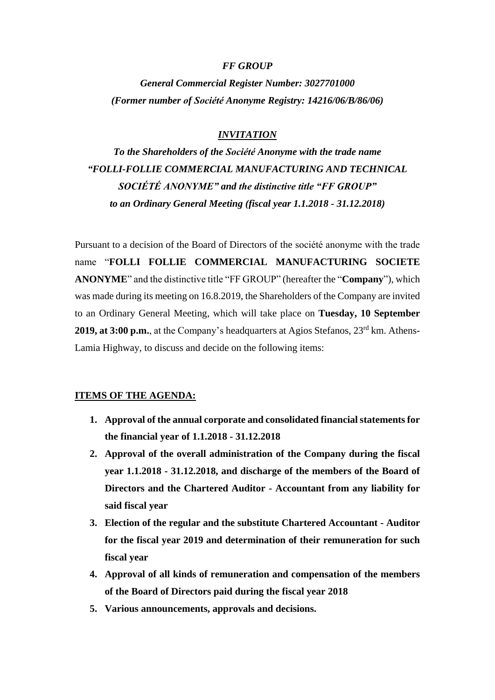## *FF GROUP*

*General Commercial Register Number: 3027701000 (Former number οf Société Anonyme Registry: 14216/06/B/86/06)*

# *INVITATION*

*To the Shareholders of the Société Anonyme with the trade name "FOLLI-FOLLIE COMMERCIAL MANUFACTURING AND TECHNICAL SOCIÉTÉ ANONYME" and the distinctive title "FF GROUP" to an Ordinary General Meeting (fiscal year 1.1.2018 - 31.12.2018)*

Pursuant to a decision of the Board of Directors of the société anonyme with the trade name "**FOLLI FOLLIE COMMERCIAL MANUFACTURING SOCIETE ANONYME**" and the distinctive title "FF GROUP" (hereafter the "**Company**"), which was made during its meeting on 16.8.2019, the Shareholders of the Company are invited to an Ordinary General Meeting, which will take place on **Tuesday, 10 September 2019, at 3:00 p.m.**, at the Company's headquarters at Agios Stefanos, 23<sup>rd</sup> km. Athens-Lamia Highway, to discuss and decide on the following items:

## **ITEMS OF THE AGENDA:**

- **1. Approval of the annual corporate and consolidated financial statements for the financial year of 1.1.2018 - 31.12.2018**
- **2. Approval of the overall administration of the Company during the fiscal year 1.1.2018 - 31.12.2018, and discharge of the members of the Board of Directors and the Chartered Auditor - Accountant from any liability for said fiscal year**
- **3. Election of the regular and the substitute Chartered Accountant - Auditor for the fiscal year 2019 and determination of their remuneration for such fiscal year**
- **4. Approval of all kinds of remuneration and compensation of the members of the Board of Directors paid during the fiscal year 2018**
- **5. Various announcements, approvals and decisions.**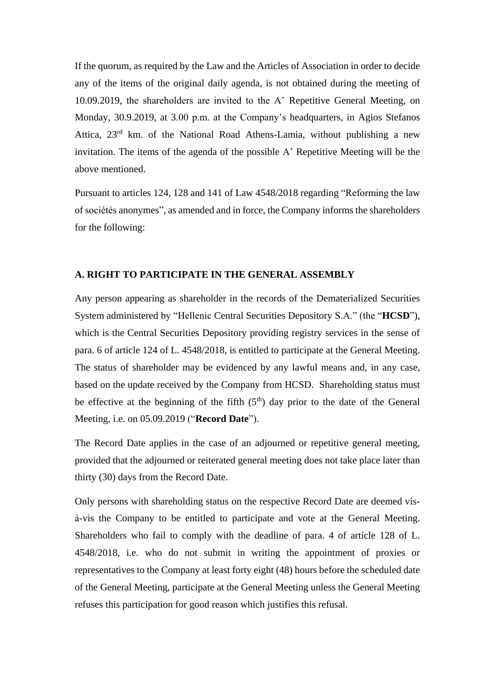If the quorum, as required by the Law and the Articles of Association in order to decide any of the items of the original daily agenda, is not obtained during the meeting of 10.09.2019, the shareholders are invited to the A' Repetitive General Meeting, on Monday, 30.9.2019, at 3.00 p.m. at the Company's headquarters, in Agios Stefanos Attica, 23rd km. of the National Road Athens-Lamia, without publishing a new invitation. The items of the agenda of the possible A' Repetitive Meeting will be the above mentioned.

Pursuant to articles 124, 128 and 141 of Law 4548/2018 regarding "Reforming the law of sociétés anonymes", as amended and in force, the Company informs the shareholders for the following:

#### **A. RIGHT TO PARTICIPATE IN THE GENERAL ASSEMBLY**

Any person appearing as shareholder in the records of the Dematerialized Securities System administered by "Hellenic Central Securities Depository S.A." (the "**HCSD**"), which is the Central Securities Depository providing registry services in the sense of para. 6 of article 124 of L. 4548/2018, is entitled to participate at the General Meeting. The status of shareholder may be evidenced by any lawful means and, in any case, based on the update received by the Company from HCSD. Shareholding status must be effective at the beginning of the fifth  $(5<sup>th</sup>)$  day prior to the date of the General Meeting, i.e. on 05.09.2019 ("**Record Date**").

The Record Date applies in the case of an adjourned or repetitive general meeting, provided that the adjourned or reiterated general meeting does not take place later than thirty (30) days from the Record Date.

Only persons with shareholding status on the respective Record Date are deemed visà-vis the Company to be entitled to participate and vote at the General Meeting. Shareholders who fail to comply with the deadline of para. 4 of article 128 of L. 4548/2018, i.e. who do not submit in writing the appointment of proxies or representatives to the Company at least forty eight (48) hours before the scheduled date of the General Meeting, participate at the General Meeting unless the General Meeting refuses this participation for good reason which justifies this refusal.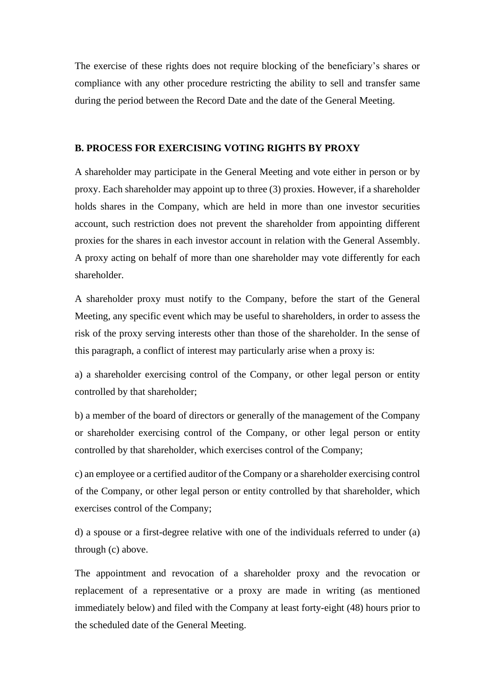The exercise of these rights does not require blocking of the beneficiary's shares or compliance with any other procedure restricting the ability to sell and transfer same during the period between the Record Date and the date of the General Meeting.

#### **B. PROCESS FOR EXERCISING VOTING RIGHTS BY PROXY**

A shareholder may participate in the General Meeting and vote either in person or by proxy. Each shareholder may appoint up to three (3) proxies. However, if a shareholder holds shares in the Company, which are held in more than one investor securities account, such restriction does not prevent the shareholder from appointing different proxies for the shares in each investor account in relation with the General Assembly. A proxy acting on behalf of more than one shareholder may vote differently for each shareholder.

A shareholder proxy must notify to the Company, before the start of the General Meeting, any specific event which may be useful to shareholders, in order to assess the risk of the proxy serving interests other than those of the shareholder. In the sense of this paragraph, a conflict of interest may particularly arise when a proxy is:

a) a shareholder exercising control of the Company, or other legal person or entity controlled by that shareholder;

b) a member of the board of directors or generally of the management of the Company or shareholder exercising control of the Company, or other legal person or entity controlled by that shareholder, which exercises control of the Company;

c) an employee or a certified auditor of the Company or a shareholder exercising control of the Company, or other legal person or entity controlled by that shareholder, which exercises control of the Company;

d) a spouse or a first-degree relative with one of the individuals referred to under (a) through (c) above.

The appointment and revocation of a shareholder proxy and the revocation or replacement of a representative or a proxy are made in writing (as mentioned immediately below) and filed with the Company at least forty-eight (48) hours prior to the scheduled date of the General Meeting.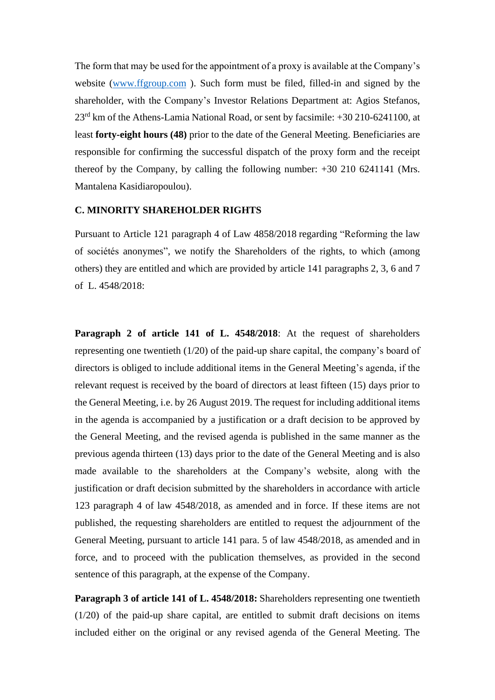The form that may be used for the appointment of a proxy is available at the Company's website [\(www.ffgroup.com](http://www.ffgroup.com/)). Such form must be filed, filled-in and signed by the shareholder, with the Company's Investor Relations Department at: Agios Stefanos, 23rd km of the Athens-Lamia National Road, or sent by facsimile: +30 210-6241100, at least **forty-eight hours (48)** prior to the date of the General Meeting. Beneficiaries are responsible for confirming the successful dispatch of the proxy form and the receipt thereof by the Company, by calling the following number: +30 210 6241141 (Mrs. Mantalena Kasidiaropoulou).

## **C. MINORITY SHAREHOLDER RIGHTS**

Pursuant to Article 121 paragraph 4 of Law 4858/2018 regarding "Reforming the law of sociétés anonymes", we notify the Shareholders of the rights, to which (among others) they are entitled and which are provided by article 141 paragraphs 2, 3, 6 and 7 of L. 4548/2018:

**Paragraph 2 of article 141 of L. 4548/2018**: At the request of shareholders representing one twentieth (1/20) of the paid-up share capital, the company's board of directors is obliged to include additional items in the General Meeting's agenda, if the relevant request is received by the board of directors at least fifteen (15) days prior to the General Meeting, i.e. by 26 August 2019. The request for including additional items in the agenda is accompanied by a justification or a draft decision to be approved by the General Meeting, and the revised agenda is published in the same manner as the previous agenda thirteen (13) days prior to the date of the General Meeting and is also made available to the shareholders at the Company's website, along with the justification or draft decision submitted by the shareholders in accordance with article 123 paragraph 4 of law 4548/2018, as amended and in force. If these items are not published, the requesting shareholders are entitled to request the adjournment of the General Meeting, pursuant to article 141 para. 5 of law 4548/2018, as amended and in force, and to proceed with the publication themselves, as provided in the second sentence of this paragraph, at the expense of the Company.

**Paragraph 3 of article 141 of L. 4548/2018:** Shareholders representing one twentieth (1/20) of the paid-up share capital, are entitled to submit draft decisions on items included either on the original or any revised agenda of the General Meeting. The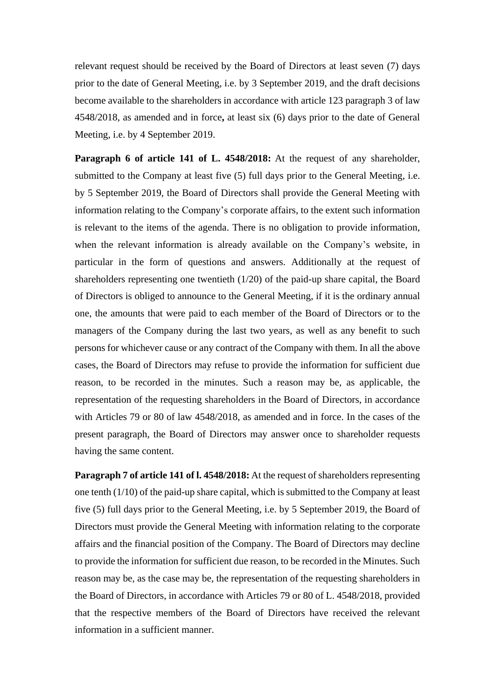relevant request should be received by the Board of Directors at least seven (7) days prior to the date of General Meeting, i.e. by 3 September 2019, and the draft decisions become available to the shareholders in accordance with article 123 paragraph 3 of law 4548/2018, as amended and in force**,** at least six (6) days prior to the date of General Meeting, i.e. by 4 September 2019.

**Paragraph 6 of article 141 of L. 4548/2018:** At the request of any shareholder, submitted to the Company at least five (5) full days prior to the General Meeting, i.e. by 5 September 2019, the Board of Directors shall provide the General Meeting with information relating to the Company's corporate affairs, to the extent such information is relevant to the items of the agenda. There is no obligation to provide information, when the relevant information is already available on the Company's website, in particular in the form of questions and answers. Additionally at the request of shareholders representing one twentieth (1/20) of the paid-up share capital, the Board of Directors is obliged to announce to the General Meeting, if it is the ordinary annual one, the amounts that were paid to each member of the Board of Directors or to the managers of the Company during the last two years, as well as any benefit to such persons for whichever cause or any contract of the Company with them. In all the above cases, the Board of Directors may refuse to provide the information for sufficient due reason, to be recorded in the minutes. Such a reason may be, as applicable, the representation of the requesting shareholders in the Board of Directors, in accordance with Articles 79 or 80 of law 4548/2018, as amended and in force. In the cases of the present paragraph, the Board of Directors may answer once to shareholder requests having the same content.

**Paragraph 7 of article 141 of l. 4548/2018:** At the request of shareholders representing one tenth (1/10) of the paid-up share capital, which is submitted to the Company at least five (5) full days prior to the General Meeting, i.e. by 5 September 2019, the Board of Directors must provide the General Meeting with information relating to the corporate affairs and the financial position of the Company. The Board of Directors may decline to provide the information for sufficient due reason, to be recorded in the Minutes. Such reason may be, as the case may be, the representation of the requesting shareholders in the Board of Directors, in accordance with Articles 79 or 80 of L. 4548/2018, provided that the respective members of the Board of Directors have received the relevant information in a sufficient manner.